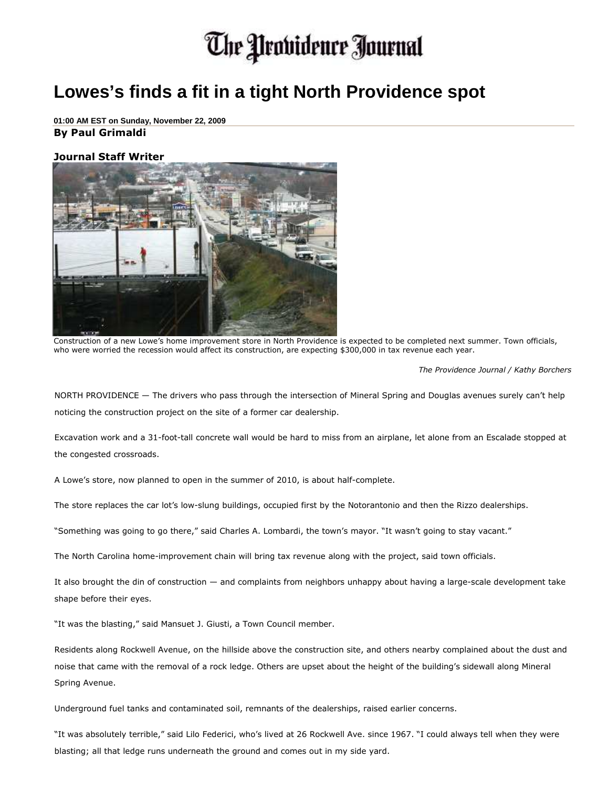## The Providence Journal

## **Lowes's finds a fit in a tight North Providence spot**

**01:00 AM EST on Sunday, November 22, 2009**  By Paul Grimaldi

## Journal Staff Writer



Construction of a new Lowe's home improvement store in North Providence is expected to be completed next summer. Town officials, who were worried the recession would affect its construction, are expecting \$300,000 in tax revenue each year.

The Providence Journal / Kathy Borchers

NORTH PROVIDENCE — The drivers who pass through the intersection of Mineral Spring and Douglas avenues surely can't help noticing the construction project on the site of a former car dealership.

Excavation work and a 31-foot-tall concrete wall would be hard to miss from an airplane, let alone from an Escalade stopped at the congested crossroads.

A Lowe's store, now planned to open in the summer of 2010, is about half-complete.

The store replaces the car lot's low-slung buildings, occupied first by the Notorantonio and then the Rizzo dealerships.

"Something was going to go there," said Charles A. Lombardi, the town's mayor. "It wasn't going to stay vacant."

The North Carolina home-improvement chain will bring tax revenue along with the project, said town officials.

It also brought the din of construction — and complaints from neighbors unhappy about having a large-scale development take shape before their eyes.

"It was the blasting," said Mansuet J. Giusti, a Town Council member.

Residents along Rockwell Avenue, on the hillside above the construction site, and others nearby complained about the dust and noise that came with the removal of a rock ledge. Others are upset about the height of the building's sidewall along Mineral Spring Avenue.

Underground fuel tanks and contaminated soil, remnants of the dealerships, raised earlier concerns.

"It was absolutely terrible," said Lilo Federici, who's lived at 26 Rockwell Ave. since 1967. "I could always tell when they were blasting; all that ledge runs underneath the ground and comes out in my side yard.